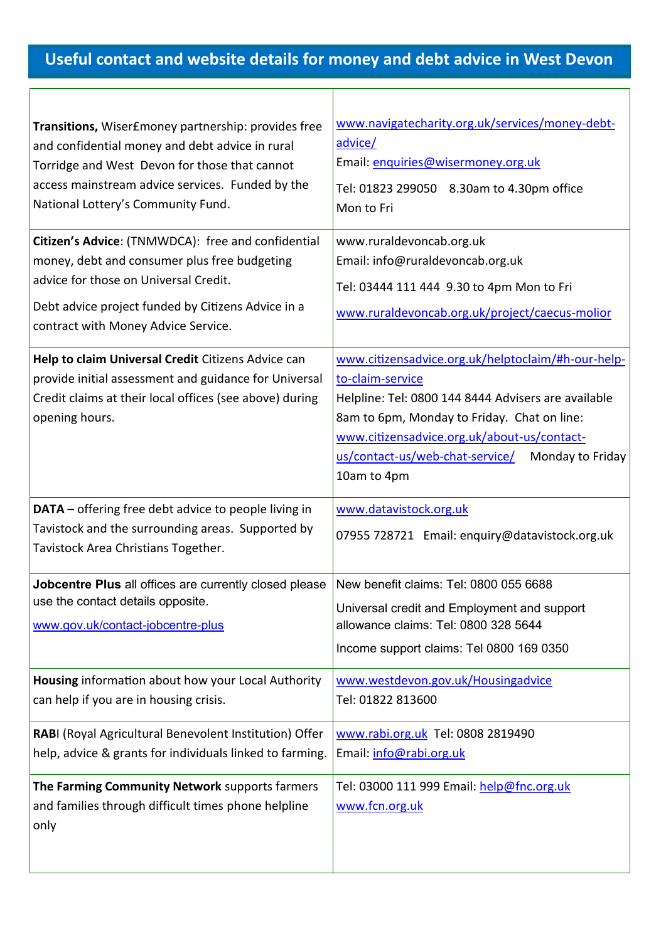## **Useful contact and website details for money and debt advice in West Devon**

 $\Gamma$ 

| Transitions, Wiser£money partnership: provides free<br>and confidential money and debt advice in rural<br>Torridge and West Devon for those that cannot<br>access mainstream advice services. Funded by the<br>National Lottery's Community Fund. | www.navigatecharity.org.uk/services/money-debt-<br>advice/<br>Email: enquiries@wisermoney.org.uk<br>Tel: 01823 299050 8.30am to 4.30pm office<br>Mon to Fri                                                                                                                                       |
|---------------------------------------------------------------------------------------------------------------------------------------------------------------------------------------------------------------------------------------------------|---------------------------------------------------------------------------------------------------------------------------------------------------------------------------------------------------------------------------------------------------------------------------------------------------|
| Citizen's Advice: (TNMWDCA): free and confidential<br>money, debt and consumer plus free budgeting<br>advice for those on Universal Credit.<br>Debt advice project funded by Citizens Advice in a<br>contract with Money Advice Service.          | www.ruraldevoncab.org.uk<br>Email: info@ruraldevoncab.org.uk<br>Tel: 03444 111 444 9.30 to 4pm Mon to Fri<br>www.ruraldevoncab.org.uk/project/caecus-molior                                                                                                                                       |
| Help to claim Universal Credit Citizens Advice can<br>provide initial assessment and guidance for Universal<br>Credit claims at their local offices (see above) during<br>opening hours.                                                          | www.citizensadvice.org.uk/helptoclaim/#h-our-help-<br>to-claim-service<br>Helpline: Tel: 0800 144 8444 Advisers are available<br>8am to 6pm, Monday to Friday. Chat on line:<br>www.citizensadvice.org.uk/about-us/contact-<br>us/contact-us/web-chat-service/<br>Monday to Friday<br>10am to 4pm |
| DATA - offering free debt advice to people living in<br>Tavistock and the surrounding areas. Supported by<br>Tavistock Area Christians Together.                                                                                                  | www.datavistock.org.uk<br>07955 728721 Email: enquiry@datavistock.org.uk                                                                                                                                                                                                                          |
| Jobcentre Plus all offices are currently closed please  New benefit claims: Tel: 0800 055 6688<br>use the contact details opposite.<br>www.gov.uk/contact-jobcentre-plus                                                                          | Universal credit and Employment and support<br>allowance claims: Tel: 0800 328 5644<br>Income support claims: Tel 0800 169 0350                                                                                                                                                                   |
| Housing information about how your Local Authority<br>can help if you are in housing crisis.                                                                                                                                                      | www.westdevon.gov.uk/Housingadvice<br>Tel: 01822 813600                                                                                                                                                                                                                                           |
| RABI (Royal Agricultural Benevolent Institution) Offer<br>help, advice & grants for individuals linked to farming.                                                                                                                                | www.rabi.org.uk Tel: 0808 2819490<br>Email: info@rabi.org.uk                                                                                                                                                                                                                                      |
| The Farming Community Network supports farmers<br>and families through difficult times phone helpline<br>only                                                                                                                                     | Tel: 03000 111 999 Email: help@fnc.org.uk<br>www.fcn.org.uk                                                                                                                                                                                                                                       |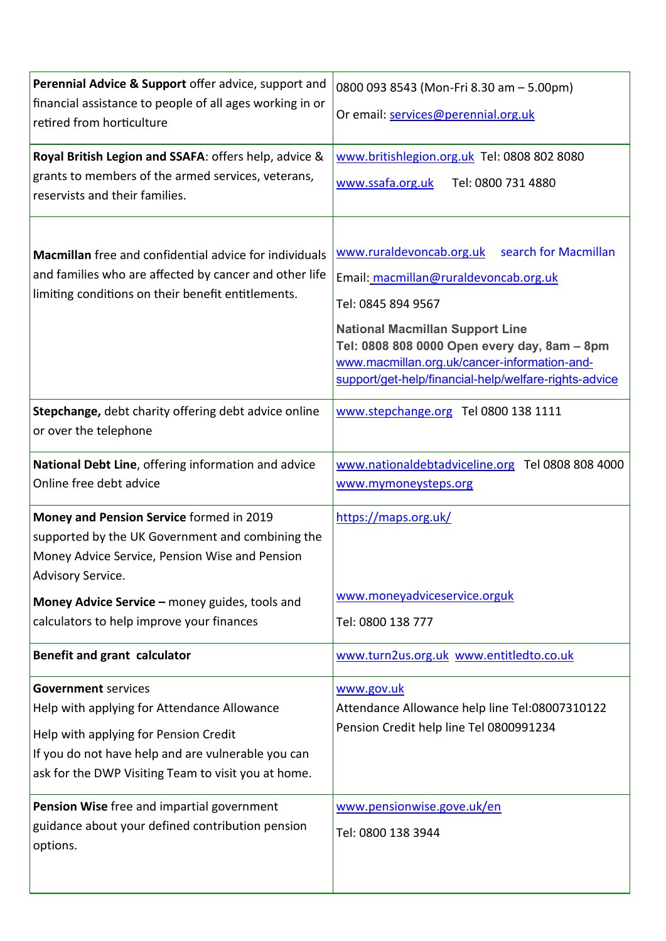| Perennial Advice & Support offer advice, support and<br>financial assistance to people of all ages working in or<br>retired from horticulture                                                                                   | 0800 093 8543 (Mon-Fri 8.30 am - 5.00pm)<br>Or email: services@perennial.org.uk                                                                                                                                                                                                                                    |
|---------------------------------------------------------------------------------------------------------------------------------------------------------------------------------------------------------------------------------|--------------------------------------------------------------------------------------------------------------------------------------------------------------------------------------------------------------------------------------------------------------------------------------------------------------------|
| Royal British Legion and SSAFA: offers help, advice &<br>grants to members of the armed services, veterans,<br>reservists and their families.                                                                                   | www.britishlegion.org.uk Tel: 0808 802 8080<br>www.ssafa.org.uk<br>Tel: 0800 731 4880                                                                                                                                                                                                                              |
| <b>Macmillan</b> free and confidential advice for individuals<br>and families who are affected by cancer and other life<br>limiting conditions on their benefit entitlements.                                                   | www.ruraldevoncab.org.uk<br>search for Macmillan<br>Email: macmillan@ruraldevoncab.org.uk<br>Tel: 0845 894 9567<br><b>National Macmillan Support Line</b><br>Tel: 0808 808 0000 Open every day, 8am - 8pm<br>www.macmillan.org.uk/cancer-information-and-<br>support/get-help/financial-help/welfare-rights-advice |
| Stepchange, debt charity offering debt advice online<br>or over the telephone                                                                                                                                                   | www.stepchange.org Tel 0800 138 1111                                                                                                                                                                                                                                                                               |
| National Debt Line, offering information and advice<br>Online free debt advice                                                                                                                                                  | www.nationaldebtadviceline.org Tel 0808 808 4000<br>www.mymoneysteps.org                                                                                                                                                                                                                                           |
| Money and Pension Service formed in 2019<br>supported by the UK Government and combining the<br>Money Advice Service, Pension Wise and Pension<br>Advisory Service.                                                             | https://maps.org.uk/                                                                                                                                                                                                                                                                                               |
| Money Advice Service - money guides, tools and<br>calculators to help improve your finances                                                                                                                                     | www.moneyadviceservice.orguk<br>Tel: 0800 138 777                                                                                                                                                                                                                                                                  |
| Benefit and grant calculator                                                                                                                                                                                                    | www.turn2us.org.uk www.entitledto.co.uk                                                                                                                                                                                                                                                                            |
| <b>Government services</b><br>Help with applying for Attendance Allowance<br>Help with applying for Pension Credit<br>If you do not have help and are vulnerable you can<br>ask for the DWP Visiting Team to visit you at home. | www.gov.uk<br>Attendance Allowance help line Tel:08007310122<br>Pension Credit help line Tel 0800991234                                                                                                                                                                                                            |
| Pension Wise free and impartial government<br>guidance about your defined contribution pension<br>options.                                                                                                                      | www.pensionwise.gove.uk/en<br>Tel: 0800 138 3944                                                                                                                                                                                                                                                                   |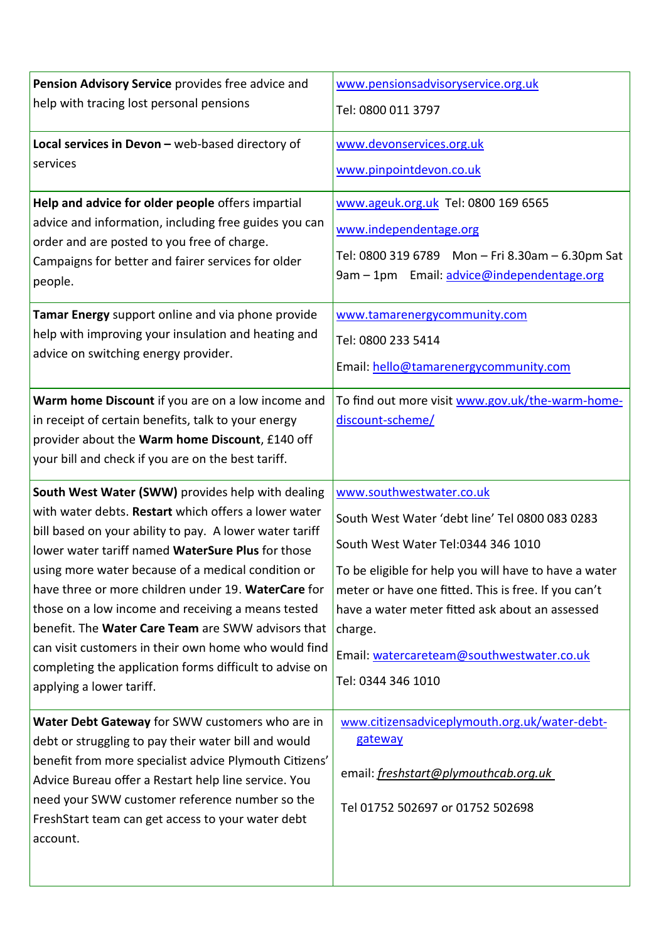| Pension Advisory Service provides free advice and<br>help with tracing lost personal pensions                                                                                                                                                                                                                                                                                                                                                                                                                                                                                                     | www.pensionsadvisoryservice.org.uk<br>Tel: 0800 011 3797                                                                                                                                                                                                                                                                                                           |
|---------------------------------------------------------------------------------------------------------------------------------------------------------------------------------------------------------------------------------------------------------------------------------------------------------------------------------------------------------------------------------------------------------------------------------------------------------------------------------------------------------------------------------------------------------------------------------------------------|--------------------------------------------------------------------------------------------------------------------------------------------------------------------------------------------------------------------------------------------------------------------------------------------------------------------------------------------------------------------|
| Local services in Devon - web-based directory of<br>services                                                                                                                                                                                                                                                                                                                                                                                                                                                                                                                                      | www.devonservices.org.uk<br>www.pinpointdevon.co.uk                                                                                                                                                                                                                                                                                                                |
| Help and advice for older people offers impartial<br>advice and information, including free guides you can<br>order and are posted to you free of charge.<br>Campaigns for better and fairer services for older<br>people.                                                                                                                                                                                                                                                                                                                                                                        | www.ageuk.org.uk Tel: 0800 169 6565<br>www.independentage.org<br>Tel: 0800 319 6789 Mon - Fri 8.30am - 6.30pm Sat<br>9am - 1pm Email: advice@independentage.org                                                                                                                                                                                                    |
| Tamar Energy support online and via phone provide<br>help with improving your insulation and heating and<br>advice on switching energy provider.                                                                                                                                                                                                                                                                                                                                                                                                                                                  | www.tamarenergycommunity.com<br>Tel: 0800 233 5414<br>Email: hello@tamarenergycommunity.com                                                                                                                                                                                                                                                                        |
| Warm home Discount if you are on a low income and<br>in receipt of certain benefits, talk to your energy<br>provider about the Warm home Discount, £140 off<br>your bill and check if you are on the best tariff.                                                                                                                                                                                                                                                                                                                                                                                 | To find out more visit www.gov.uk/the-warm-home-<br>discount-scheme/                                                                                                                                                                                                                                                                                               |
| South West Water (SWW) provides help with dealing<br>with water debts. Restart which offers a lower water<br>bill based on your ability to pay. A lower water tariff<br>lower water tariff named WaterSure Plus for those<br>using more water because of a medical condition or<br>have three or more children under 19. WaterCare for<br>those on a low income and receiving a means tested<br>benefit. The Water Care Team are SWW advisors that<br>can visit customers in their own home who would find<br>completing the application forms difficult to advise on<br>applying a lower tariff. | www.southwestwater.co.uk<br>South West Water 'debt line' Tel 0800 083 0283<br>South West Water Tel:0344 346 1010<br>To be eligible for help you will have to have a water<br>meter or have one fitted. This is free. If you can't<br>have a water meter fitted ask about an assessed<br>charge.<br>Email: watercareteam@southwestwater.co.uk<br>Tel: 0344 346 1010 |
| Water Debt Gateway for SWW customers who are in<br>debt or struggling to pay their water bill and would<br>benefit from more specialist advice Plymouth Citizens'<br>Advice Bureau offer a Restart help line service. You<br>need your SWW customer reference number so the<br>FreshStart team can get access to your water debt<br>account.                                                                                                                                                                                                                                                      | www.citizensadviceplymouth.org.uk/water-debt-<br>gateway<br>email: freshstart@plymouthcab.org.uk<br>Tel 01752 502697 or 01752 502698                                                                                                                                                                                                                               |